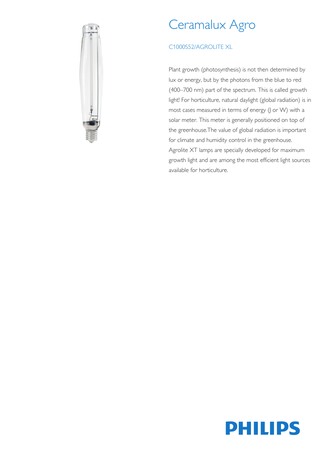

# Ceramalux Agro

## C1000S52/AGROLITE XL

Plant growth (photosynthesis) is not then determined by lux or energy, but by the photons from the blue to red (400–700 nm) part of the spectrum. This is called growth light! For horticulture, natural daylight (global radiation) is in most cases measured in terms of energy (J or W) with a solar meter. This meter is generally positioned on top of the greenhouse.The value of global radiation is important for climate and humidity control in the greenhouse. Agrolite XT lamps are specially developed for maximum growth light and are among the most efficient light sources available for horticulture.

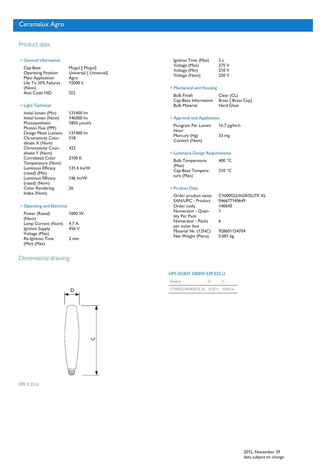## Product data

#### • General Information

| Cap-Base                  | Mogul [ Mogul]         |
|---------------------------|------------------------|
| <b>Operating Position</b> | Universal [ Universal] |
| Main Application          | Agro                   |
| Life To 50% Failures      | 15000 h                |
| (Nom)                     |                        |
| Ansi Code HID             | S52                    |

## • Light Technical

| Initial lumen (Min)<br>Initial lumen (Nom)<br>Photosynthetic<br>Photon Flux (PPF) | 131400 lm<br>146000 lm<br>1850 µmol/s |
|-----------------------------------------------------------------------------------|---------------------------------------|
| Design Mean Lumens                                                                | 131400 lm                             |
| <b>Chromaticity Coor-</b>                                                         | 518                                   |
| dinate $X$ (Nom)                                                                  |                                       |
| <b>Chromaticity Coor-</b>                                                         | 477                                   |
| dinate Y (Nom)                                                                    |                                       |
| Correlated Color                                                                  | 2100 K                                |
| Temperature (Nom)                                                                 |                                       |
| Luminous Efficacy                                                                 | $131.4 \text{ lm/W}$                  |
| (rated) (Min)                                                                     |                                       |
| Luminous Efficacy                                                                 | 146 lm/W                              |
| (rated) (Nom)                                                                     |                                       |
| Color Rendering                                                                   | 26                                    |
| Index (Nom)                                                                       |                                       |
|                                                                                   |                                       |

#### • Operating and Electrical

| Power (Rated)           | 1000 W |
|-------------------------|--------|
| (Nom)                   |        |
| Lamp Current (Nom)      | 4.7 A  |
| Ignition Supply         | 456 V  |
| Voltage (Max)           |        |
| <b>Re-Ignition Time</b> | 2 min  |
| $(Min)$ (Max)           |        |
|                         |        |

## Dimensional drawing



| Ignition Time (Max) |
|---------------------|
| Voltage (Max)       |
| Voltage (Min)       |
| Voltage (Nom)       |
|                     |

## • Mechanical and Housing

| <b>Bulb Finish</b>   | Clear (CL)         |
|----------------------|--------------------|
| Cap-Base Information | Brass [ Brass Cap] |
| <b>Bulb Material</b> | <b>Hard Glass</b>  |

 $\frac{5}{275}$  V 210 V 250 V

#### • Approval and Application

| Picogram Per Lumen | 16.7 pg/lm.h     |
|--------------------|------------------|
| Hour               |                  |
| Mercury (Hg)       | 33 <sub>mg</sub> |
| Content (Nom)      |                  |

#### • Luminaire Design Requirements

| <b>Bulb Temperature</b> | 400 $^{\circ}$ C |
|-------------------------|------------------|
| (Max)                   |                  |
| Cap-Base Tempera-       | 210 °C           |
| ture (Max)              |                  |

#### • Product Data

| Order product name  | C1000S52/AGROLITE XL |
|---------------------|----------------------|
| EAN/UPC - Product   | 046677140649         |
| Order code          | 140640               |
| Numerator - Quan-   | 1                    |
| tity Per Pack       |                      |
| Numerator - Packs   | 6                    |
| per outer box       |                      |
| Material Nr. (12NC) | 928601154704         |
| Net Weight (Piece)  | $0.001$ kg           |
|                     |                      |

## HPS AGRO 1000W E39 E25 U

| Product                                 |  |
|-----------------------------------------|--|
| C1000S52/AGROLITE XL 3.125 in 15.063 in |  |



D

E39, E 25 U